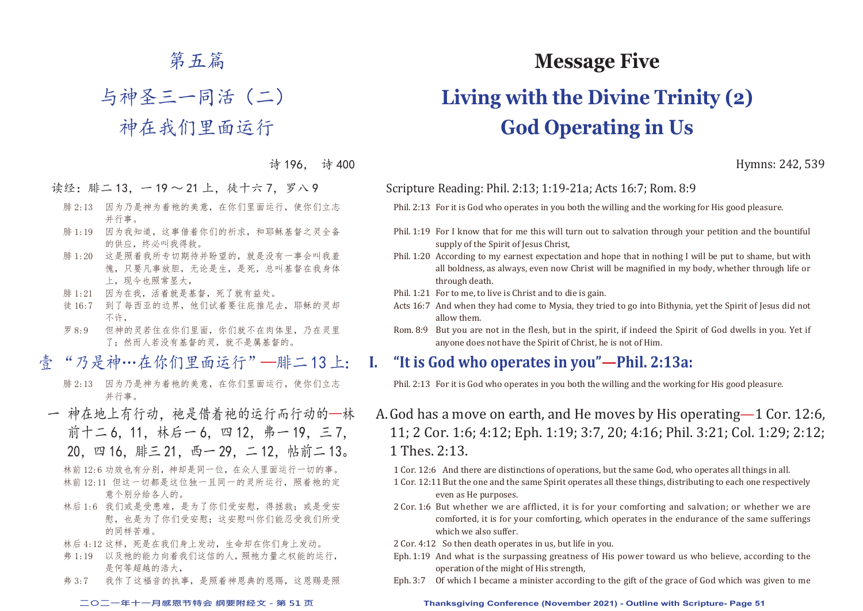# 第五篇

# 与神圣三一同活(二)

# 神在我们里面运行

诗 196, 诗 400

- 读经:腓二13, 一19~21上,徒十六7, 罗八9
	- 腓 2:13 因为乃是神为着祂的美意,在你们里面运行,使你们立志 并行事。
	- 腓 1:19 因为我知道,这事借着你们的祈求,和耶稣基督之灵全备 的供应,终必叫我得救。
	- 腓 1:20 这是照着我所专切期待并盼望的,就是没有一事会叫我羞 愧,只要凡事放胆,无论是生,是死,总叫基督在我身体 上,现今也照常显大,
	- 腓 1:21 因为在我,活着就是基督,死了就有益处。
	- 徒 16:7 到了每西亚的边界,他们试着要往庇推尼去,耶稣的灵却 不许,
	- 罗 8:9 但神的灵若住在你们里面,你们就不在肉体里,乃在灵里 了;然而人若没有基督的灵,就不是属基督的。
- 壹 "乃是神…在你们里面运行"—腓二 13 上:
	- 腓 2:13 因为乃是神为着祂的美意,在你们里面运行,使你们立志 并行事。
- 一 神在地上有行动,祂是借着祂的运行而行动的一林 前十二 6, 11, 林后一 6, 四 12, 弗一 19, 三 7, 20,四 16,腓三 21,西一 29,二 12,帖前二 13。 林前 12:6 功效也有分别,神却是同一位,在众人里面运行一切的事。
	- 林前 12:11 但这一切都是这位独一且同一的灵所运行,照着祂的定 意个别分给各人的。
	- 林后 1:6 我们或是受患难,是为了你们受安慰,得拯救;或是受安 慰, 也是为了你们受安慰;这安慰叫你们能忍受我们所受 的同样苦难。
	- 林后 4:12 这样, 死是在我们身上发动, 生命却在你们身上发动。
	- 弗 1:19 以及祂的能力向着我们这信的人,照祂力量之权能的运行, 是何等超越的浩大,
	- 弗 3:7 我作了这福音的执事,是照着神恩典的恩赐,这恩赐是照

# **Message Five**

# **Living with the Divine Trinity (2) God Operating in Us**

Hymns: 242, 539

Scripture Reading: Phil. 2:13; 1:19-21a; Acts 16:7; Rom. 8:9

Phil. 2:13 For it is God who operates in you both the willing and the working for His good pleasure.

- Phil. 1:19 For I know that for me this will turn out to salvation through your petition and the bountiful supply of the Spirit of Jesus Christ.
- Phil. 1:20 According to my earnest expectation and hope that in nothing I will be put to shame, but with all boldness, as always, even now Christ will be magnified in my body, whether through life or through death.
- Phil. 1:21 For to me, to live is Christ and to die is gain.
- Acts 16:7 And when they had come to Mysia, they tried to go into Bithynia, yet the Spirit of Jesus did not allow them.
- Rom. 8:9 But you are not in the flesh, but in the spirit, if indeed the Spirit of God dwells in you. Yet if anyone does not have the Spirit of Christ, he is not of Him.

#### **I. "It is God who operates in you"—Phil. 2:13a:**

Phil. 2:13 For it is God who operates in you both the willing and the working for His good pleasure.

- A. God has a move on earth, and He moves by His operating 1 Cor. 12:6, 11; 2 Cor. 1:6; 4:12; Eph. 1:19; 3:7, 20; 4:16; Phil. 3:21; Col. 1:29; 2:12; 1 Thes. 2:13.
	- 1 Cor. 12:6 And there are distinctions of operations, but the same God, who operates all things in all.
	- 1 Cor. 12:11 But the one and the same Spirit operates all these things, distributing to each one respectively even as He purposes.
	- 2 Cor. 1:6 But whether we are afflicted, it is for your comforting and salvation; or whether we are comforted, it is for your comforting, which operates in the endurance of the same sufferings which we also suffer.
	- 2 Cor. 4:12 So then death operates in us, but life in you.
	- Eph. 1:19 And what is the surpassing greatness of His power toward us who believe, according to the operation of the might of His strength,
	- Eph. 3:7 Of which I became a minister according to the gift of the grace of God which was given to me

#### **二○二一年十一月感恩节特会 纲要附经文 - 第 51 页 Thanksgiving Conference (November 2021) - Outline with Scripture- Page 51**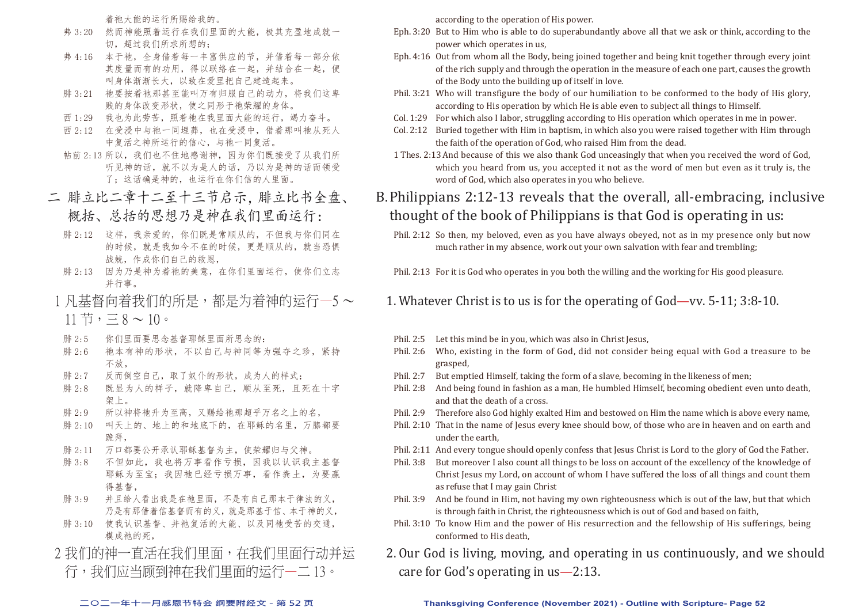着祂大能的运行所赐给我的。

- 弗 3:20 然而神能照着运行在我们里面的大能,极其充盈地成就一 切,超过我们所求所想的;
- 弗 4:16 本于祂, 全身借着每一丰富供应的节, 并借着每一部分依 其度量而有的功用,得以联络在一起,并结合在一起,便 叫身体渐渐长大,以致在爱里把自己建造起来。
- 腓 3:21 祂要按着祂那甚至能叫万有归服自己的动力,将我们这卑 贱的身体改变形状,使之同形于祂荣耀的身体。
- 西 1:29 我也为此劳苦,照着祂在我里面大能的运行,竭力奋斗。
- 西 2:12 在受浸中与祂一同埋葬, 也在受浸中, 借着那叫祂从死人 中复活之神所运行的信心,与祂一同复活。
- 帖前 2:13 所以,我们也不住地感谢神,因为你们既接受了从我们所 听见神的话,就不以为是人的话,乃以为是神的话而领受 了: 这话确是神的, 也运行在你们信的人里面。
- 二 腓立比二章十二至十三节启示,腓立比书全盘、 概括、总括的思想乃是神在我们里面运行:
	- 腓 2:12 这样,我亲爱的,你们既是常顺从的,不但我与你们同在 的时候,就是我如今不在的时候,更是顺从的,就当恐惧 战兢,作成你们自己的救恩,
	- 腓 2:13 因为乃是神为着祂的美意,在你们里面运行,使你们立志 并行事。
- 1 凡基督向着我们的所是,都是为着神的运行—5 ~  $11 \, \text{#}$ ,  $\equiv 8 \sim 10$ 。
- 腓 2:5 你们里面要思念基督耶稣里面所思念的:
- 腓 2:6 祂本有神的形状,不以自己与神同等为强夺之珍,紧持 不放,
- 腓 2:7 反而倒空自己,取了奴仆的形状,成为人的样式;
- 腓 2:8 既显为人的样子,就降卑自己,顺从至死,且死在十字 架上。
- 腓 2:9 所以神将祂升为至高,又赐给祂那超乎万名之上的名,
- 腓 2:10 叫天上的、地上的和地底下的,在耶稣的名里,万膝都要 跪拜,
- 腓 2:11 万口都要公开承认耶稣基督为主,使荣耀归与父神。
- 腓 3:8 不但如此,我也将万事看作亏损,因我以认识我主基督 耶稣为至宝;我因祂已经亏损万事,看作粪土,为要赢 得基督,
- 腓 3:9 并且给人看出我是在祂里面,不是有自己那本于律法的义, 乃是有那借着信基督而有的义,就是那基于信、本于神的义,
- 腓 3:10 使我认识基督、并祂复活的大能、以及同祂受苦的交通, 模成祂的死,
- 2 我们的神一直活在我们里面,在我们里面行动并运
- 行,我们应当顾到神在我们里面的运行—二 13。

according to the operation of His power.

- Eph. 3:20 But to Him who is able to do superabundantly above all that we ask or think, according to the power which operates in us,
- Eph. 4:16 Out from whom all the Body, being joined together and being knit together through every joint of the rich supply and through the operation in the measure of each one part, causes the growth of the Body unto the building up of itself in love.
- Phil. 3:21 Who will transfigure the body of our humiliation to be conformed to the body of His glory, according to His operation by which He is able even to subject all things to Himself.
- Col. 1:29 For which also I labor, struggling according to His operation which operates in me in power.
- Col. 2:12 Buried together with Him in baptism, in which also you were raised together with Him through the faith of the operation of God, who raised Him from the dead.
- 1 Thes. 2:13 And because of this we also thank God unceasingly that when you received the word of God, which you heard from us, you accepted it not as the word of men but even as it truly is, the word of God, which also operates in you who believe.

## B. Philippians 2:12-13 reveals that the overall, all-embracing, inclusive thought of the book of Philippians is that God is operating in us:

Phil. 2:12 So then, my beloved, even as you have always obeyed, not as in my presence only but now much rather in my absence, work out your own salvation with fear and trembling;

Phil. 2:13 For it is God who operates in you both the willing and the working for His good pleasure.

- 1. Whatever Christ is to us is for the operating of God—vv. 5-11; 3:8-10.
- Phil. 2:5 Let this mind be in you, which was also in Christ Jesus,
- Phil. 2:6 Who, existing in the form of God, did not consider being equal with God a treasure to be grasped,
- Phil. 2:7 But emptied Himself, taking the form of a slave, becoming in the likeness of men;
- Phil. 2:8 And being found in fashion as a man, He humbled Himself, becoming obedient even unto death, and that the death of a cross.
- Phil. 2:9 Therefore also God highly exalted Him and bestowed on Him the name which is above every name,
- Phil. 2:10 That in the name of Jesus every knee should bow, of those who are in heaven and on earth and under the earth,
- Phil. 2:11 And every tongue should openly confess that Jesus Christ is Lord to the glory of God the Father.
- Phil. 3:8 But moreover I also count all things to be loss on account of the excellency of the knowledge of Christ Jesus my Lord, on account of whom I have suffered the loss of all things and count them as refuse that I may gain Christ
- Phil. 3:9 And be found in Him, not having my own righteousness which is out of the law, but that which is through faith in Christ, the righteousness which is out of God and based on faith,
- Phil. 3:10 To know Him and the power of His resurrection and the fellowship of His sufferings, being conformed to His death,
- 2. Our God is living, moving, and operating in us continuously, and we should care for God's operating in us—2:13.

#### **二○二一年十一月感恩节特会 纲要附经文 - 第 52 页 Thanksgiving Conference (November 2021) - Outline with Scripture- Page 52**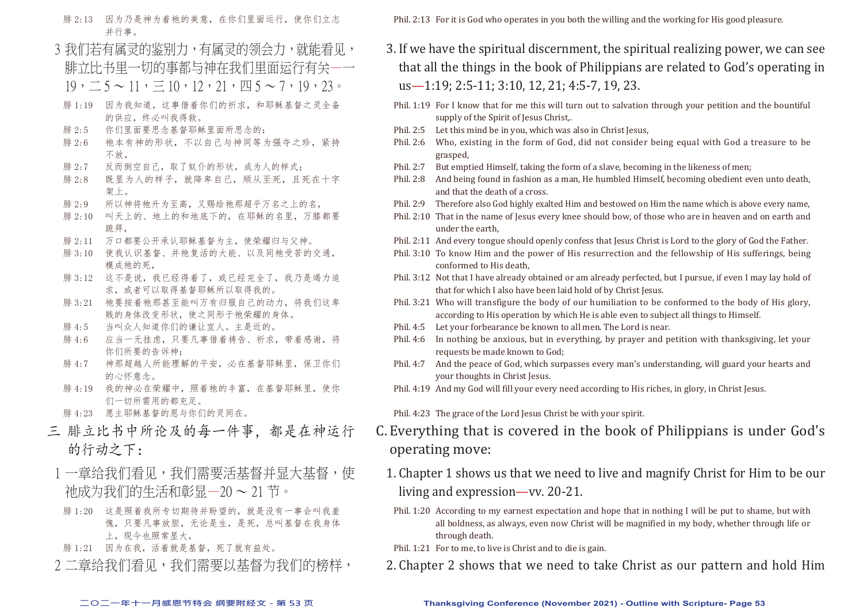- 腓 2:13 因为乃是神为着祂的美意,在你们里面运行,使你们立志 并行事。
- 3 我们若有属灵的鉴别力,有属灵的领会力,就能看见, 腓立比书里一切的事都与神在我们里面运行有关—一  $19, \underline{\hspace{1cm}} 5 \sim 11, \equiv 10, 12, 21, \underline{\hspace{1cm}} 1 \sim 5 \sim 7, 19, 23$
- 腓 1:19 因为我知道,这事借着你们的祈求,和耶稣基督之灵全备 的供应,终必叫我得救。
- 腓 2:5 你们里面要思念基督耶稣里面所思念的:
- 腓 2:6 祂本有神的形状,不以自己与神同等为强夺之珍,紧持 不放,
- 腓 2:7 反而倒空自己,取了奴仆的形状,成为人的样式;
- 腓 2:8 既显为人的样子,就降卑自己,顺从至死,且死在十字 架上。
- 腓 2:9 所以神将祂升为至高, 又赐给祂那超乎万名之上的名,
- 腓 2:10 叫天上的、地上的和地底下的,在耶稣的名里,万膝都要 跪拜,
- 腓 2:11 万口都要公开承认耶稣基督为主,使荣耀归与父神。
- 腓 3:10 使我认识基督、并祂复活的大能、以及同祂受苦的交通, 模成祂的死,
- 腓 3:12 这不是说,我已经得着了,或已经完全了,我乃是竭力追 求,或者可以取得基督耶稣所以取得我的。
- 腓 3:21 祂要按着祂那甚至能叫万有归服自己的动力, 将我们这卑 贱的身体改变形状,使之同形于祂荣耀的身体。
- 腓 4:5 当叫众人知道你们的谦让宜人。主是近的。
- 腓 4:6 应当一无挂虑,只要凡事借着祷告、祈求,带着感谢,将 你们所要的告诉神;
- 腓 4:7 神那超越人所能理解的平安,必在基督耶稣里,保卫你们 的心怀意念。
- 腓 4:19 我的神必在荣耀中,照着祂的丰富,在基督耶稣里,使你 们一切所需用的都充足。
- 腓 4:23 愿主耶稣基督的恩与你们的灵同在。
- 三 腓立比书中所论及的每一件事,都是在神运行 的行动之下:
- 1 一章给我们看见,我们需要活基督并显大基督,使 祂成为我们的生活和彰显—20 ~ 21 节。
	- 腓 1:20 这是照着我所专切期待并盼望的,就是没有一事会叫我羞 愧,只要凡事放胆,无论是生,是死,总叫基督在我身体 上,现今也照常显大,
- 腓 1:21 因为在我,活着就是基督,死了就有益处。
- 2 二章给我们看见,我们需要以基督为我们的榜样,

Phil. 2:13 For it is God who operates in you both the willing and the working for His good pleasure.

- 3. If we have the spiritual discernment, the spiritual realizing power, we can see that all the things in the book of Philippians are related to God's operating in us—1:19; 2:5-11; 3:10, 12, 21; 4:5-7, 19, 23.
	- Phil. 1:19 For I know that for me this will turn out to salvation through your petition and the bountiful supply of the Spirit of Jesus Christ,.
- Phil. 2:5 Let this mind be in you, which was also in Christ Jesus,
- Phil. 2:6 Who, existing in the form of God, did not consider being equal with God a treasure to be grasped,
- Phil. 2:7 But emptied Himself, taking the form of a slave, becoming in the likeness of men;
- Phil. 2:8 And being found in fashion as a man, He humbled Himself, becoming obedient even unto death, and that the death of a cross.
- Phil. 2:9 Therefore also God highly exalted Him and bestowed on Him the name which is above every name,
- Phil. 2:10 That in the name of Jesus every knee should bow, of those who are in heaven and on earth and under the earth,
- Phil. 2:11 And every tongue should openly confess that Jesus Christ is Lord to the glory of God the Father.
- Phil. 3:10 To know Him and the power of His resurrection and the fellowship of His sufferings, being conformed to His death,
- Phil. 3:12 Not that I have already obtained or am already perfected, but I pursue, if even I may lay hold of that for which I also have been laid hold of by Christ Jesus.
- Phil. 3:21 Who will transfigure the body of our humiliation to be conformed to the body of His glory, according to His operation by which He is able even to subject all things to Himself.
- Phil. 4:5 Let your forbearance be known to all men. The Lord is near.
- Phil. 4:6 In nothing be anxious, but in everything, by prayer and petition with thanksgiving, let your requests be made known to God;
- Phil. 4:7 And the peace of God, which surpasses every man's understanding, will guard your hearts and your thoughts in Christ Jesus.
- Phil. 4:19 And my God will fill your every need according to His riches, in glory, in Christ Jesus.

Phil. 4:23 The grace of the Lord Jesus Christ be with your spirit.

- C. Everything that is covered in the book of Philippians is under God's operating move:
	- 1. Chapter 1 shows us that we need to live and magnify Christ for Him to be our living and expression—vv. 20-21.
	- Phil. 1:20 According to my earnest expectation and hope that in nothing I will be put to shame, but with all boldness, as always, even now Christ will be magnified in my body, whether through life or through death.
	- Phil. 1:21 For to me, to live is Christ and to die is gain.
	- 2. Chapter 2 shows that we need to take Christ as our pattern and hold Him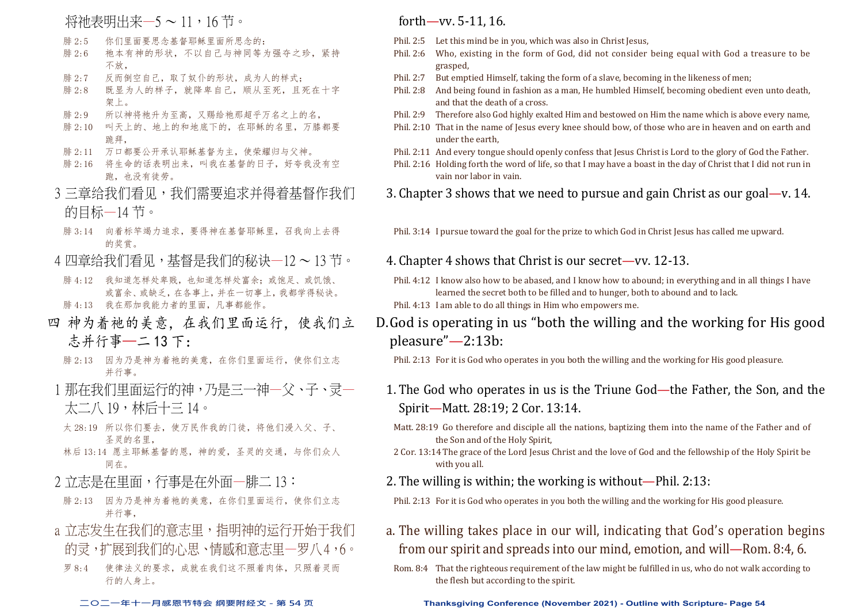#### 将祂表明出来—5~11,16节。

- 腓 2:5 你们里面要思念基督耶稣里面所思念的:
- 腓 2:6 祂本有神的形状,不以自己与神同等为强夺之珍,紧持 不放,
- 腓 2:7 反而倒空自己,取了奴仆的形状,成为人的样式;
- 腓 2:8 既显为人的样子,就降卑自己,顺从至死,且死在十字 架上。
- 腓 2:9 所以神将祂升为至高,又赐给祂那超乎万名之上的名,
- 腓 2:10 叫天上的、地上的和地底下的,在耶稣的名里,万膝都要 跪拜,
- 腓 2:11 万口都要公开承认耶稣基督为主,使荣耀归与父神。
- 腓 2:16 将生命的话表明出来,叫我在基督的日子,好夸我没有空 跑,也没有徒劳。
- 3 三章给我们看见,我们需要追求并得着基督作我们 的目标—14 节。
- 腓 3:14 向着标竿竭力追求,要得神在基督耶稣里,召我向上去得 的奖赏。
- 4 四章给我们看见,基督是我们的秘诀一12 ~ 13 节。
- 腓 4:12 我知道怎样处卑贱,也知道怎样处富余;或饱足、或饥饿、 或富余、或缺乏,在各事上,并在一切事上,我都学得秘诀。
- 腓 4:13 我在那加我能力者的里面,凡事都能作。
- 四 神为着祂的美意,在我们里面运行,使我们立 志并行事—二 13 下:
	- 腓 2:13 因为乃是神为着祂的美意,在你们里面运行,使你们立志 并行事。
- 1 那在我们里面运行的神,乃是三一神一父、子、灵一 太二八 19,林后十三 14。
	- 太 28:19 所以你们要去,使万民作我的门徒,将他们浸入父、子、 圣灵的名里,
- 林后 13:14 愿主耶稣基督的恩,神的爱,圣灵的交通,与你们众人 同在。
- 2 立志是在里面, 行事是在外面一腓二 13:
- 腓 2:13 因为乃是神为着祂的美意,在你们里面运行,使你们立志 并行事,
- a 立志发生在我们的意志里,指明神的运行开始干我们 的灵,扩展到我们的心思、情感和意志里一罗八4,6。
- 罗 8:4 使律法义的要求,成就在我们这不照着肉体,只照着灵而 行的人身上。

#### forth—vv. 5-11, 16.

- Phil. 2:5 Let this mind be in you, which was also in Christ Jesus,<br>Phil. 2:6 Who. existing in the form of God. did not consider
	- Who, existing in the form of God, did not consider being equal with God a treasure to be grasped,
- Phil. 2:7 But emptied Himself, taking the form of a slave, becoming in the likeness of men;
- Phil. 2:8 And being found in fashion as a man, He humbled Himself, becoming obedient even unto death, and that the death of a cross.
- Phil. 2:9 Therefore also God highly exalted Him and bestowed on Him the name which is above every name,
- Phil. 2:10 That in the name of Jesus every knee should bow, of those who are in heaven and on earth and under the earth,
- Phil. 2:11 And every tongue should openly confess that Jesus Christ is Lord to the glory of God the Father.
- Phil. 2:16 Holding forth the word of life, so that I may have a boast in the day of Christ that I did not run in vain nor labor in vain.

3. Chapter 3 shows that we need to pursue and gain Christ as our goal—v. 14.

Phil. 3:14 I pursue toward the goal for the prize to which God in Christ Jesus has called me upward.

- 4. Chapter 4 shows that Christ is our secret—vv. 12-13.
- Phil. 4:12 I know also how to be abased, and I know how to abound; in everything and in all things I have learned the secret both to be filled and to hunger, both to abound and to lack. Phil. 4:13 I am able to do all things in Him who empowers me.
- D.God is operating in us "both the willing and the working for His good pleasure"—2:13b:

Phil. 2:13 For it is God who operates in you both the willing and the working for His good pleasure.

- 1. The God who operates in us is the Triune God—the Father, the Son, and the Spirit—Matt. 28:19; 2 Cor. 13:14.
	- Matt. 28:19 Go therefore and disciple all the nations, baptizing them into the name of the Father and of the Son and of the Holy Spirit,
	- 2 Cor. 13:14The grace of the Lord Jesus Christ and the love of God and the fellowship of the Holy Spirit be with you all.
- 2. The willing is within; the working is without—Phil. 2:13:
- Phil. 2:13 For it is God who operates in you both the willing and the working for His good pleasure.
- a. The willing takes place in our will, indicating that God's operation begins from our spirit and spreads into our mind, emotion, and will—Rom. 8:4, 6.
- Rom. 8:4 That the righteous requirement of the law might be fulfilled in us, who do not walk according to the flesh but according to the spirit.

**二○二一年十一月感恩节特会 纲要附经文 - 第 54 页 Thanksgiving Conference (November 2021) - Outline with Scripture- Page 54**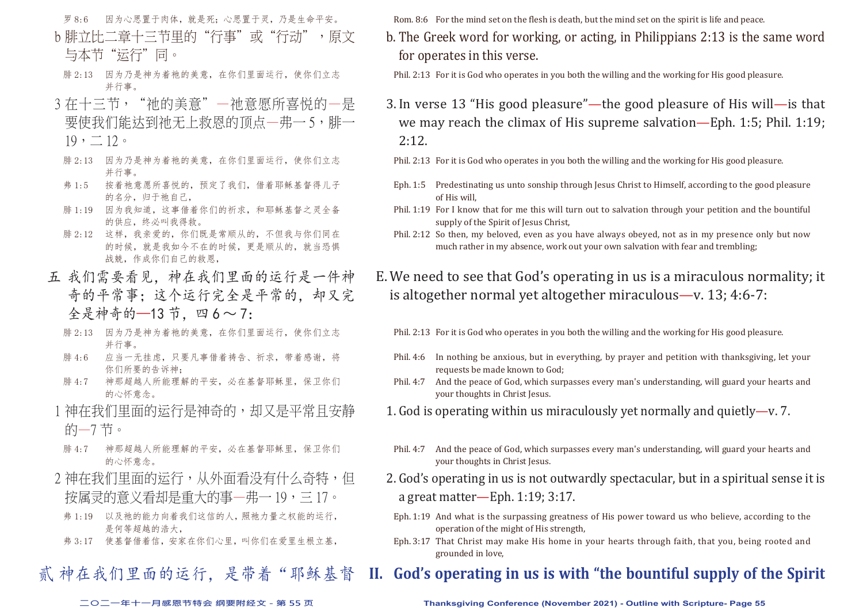- 罗 8:6 因为心思置于肉体,就是死;心思置于灵,乃是生命平安。
- b 腓立比二章十三节里的"行事"或"行动",原文 与本节"沄行"同。
- 腓 2:13 因为乃是神为着祂的美意,在你们里面运行,使你们立志 并行事。
- 3 存十三节, "祂的美意"—祂意愿所喜悦的一是 要使我们能达到祂无上救恩的顶点—弗一 5, 腓一  $19, -12$ 
	- 腓 2:13 因为乃是神为着祂的美意,在你们里面运行,使你们立志 并行事。
	- 弗 1:5 按着祂意愿所喜悦的,预定了我们,借着耶稣基督得儿子 的名分,归于祂自己,
	- 腓 1:19 因为我知道,这事借着你们的祈求,和耶稣基督之灵全备 的供应,终必叫我得救。
	- 腓 2:12 这样,我亲爱的,你们既是常顺从的,不但我与你们同在 的时候,就是我如今不在的时候,更是顺从的,就当恐惧 战兢,作成你们自己的救恩,
- 五 我们需要看见,神在我们里面的运行是一件神 奇的平常事;这个运行完全是平常的,却又完 全是神奇的--13节, 四6~7:
	- 腓 2:13 因为乃是神为着祂的美意,在你们里面运行,使你们立志 并行事。
	- 腓 4:6 应当一无挂虑,只要凡事借着祷告、祈求,带着感谢,将 你们所要的告诉神;
	- 腓 4:7 神那超越人所能理解的平安,必在基督耶稣里,保卫你们 的心怀意念。
	- 1 神在我们里面的运行是神奇的,却又是平常且安静 的—7 节。
	- 腓 4:7 神那超越人所能理解的平安,必在基督耶稣里,保卫你们 的心怀意念。
	- 2 神在我们里面的运行,从外面看没有什么奇特,但 按属灵的意义看却是重大的事—弗一 19,三 17。
	- 弗 1:19 以及祂的能力向着我们这信的人,照祂力量之权能的运行, 是何等超越的浩大,
	- 弗 3:17 使基督借着信,安家在你们心里,叫你们在爱里生根立基,

贰 神在我们里面的运行, 是带着"耶稣基督

Rom. 8:6 For the mind set on the flesh is death, but the mind set on the spirit is life and peace.

- b. The Greek word for working, or acting, in Philippians 2:13 is the same word for operates in this verse.
	- Phil. 2:13 For it is God who operates in you both the willing and the working for His good pleasure.
- 3. In verse 13 "His good pleasure"—the good pleasure of His will—is that we may reach the climax of His supreme salvation—Eph. 1:5; Phil. 1:19; 2:12.
	- Phil. 2:13 For it is God who operates in you both the willing and the working for His good pleasure.
	- Eph. 1:5 Predestinating us unto sonship through Jesus Christ to Himself, according to the good pleasure of His will,
	- Phil. 1:19 For I know that for me this will turn out to salvation through your petition and the bountiful supply of the Spirit of Jesus Christ,
	- Phil. 2:12 So then, my beloved, even as you have always obeyed, not as in my presence only but now much rather in my absence, work out your own salvation with fear and trembling;

E. We need to see that God's operating in us is a miraculous normality; it is altogether normal yet altogether miraculous—v. 13; 4:6-7:

- Phil. 2:13 For it is God who operates in you both the willing and the working for His good pleasure.
- Phil. 4:6 In nothing be anxious, but in everything, by prayer and petition with thanksgiving, let your requests be made known to God;
- Phil. 4:7 And the peace of God, which surpasses every man's understanding, will guard your hearts and your thoughts in Christ Jesus.
- 1. God is operating within us miraculously yet normally and quietly—y. 7.
- Phil. 4:7 And the peace of God, which surpasses every man's understanding, will guard your hearts and your thoughts in Christ Jesus.
- 2. God's operating in us is not outwardly spectacular, but in a spiritual sense it is a great matter—Eph. 1:19; 3:17.
	- Eph. 1:19 And what is the surpassing greatness of His power toward us who believe, according to the operation of the might of His strength,
	- Eph. 3:17 That Christ may make His home in your hearts through faith, that you, being rooted and grounded in love,

## **II. God's operating in us is with "the bountiful supply of the Spirit**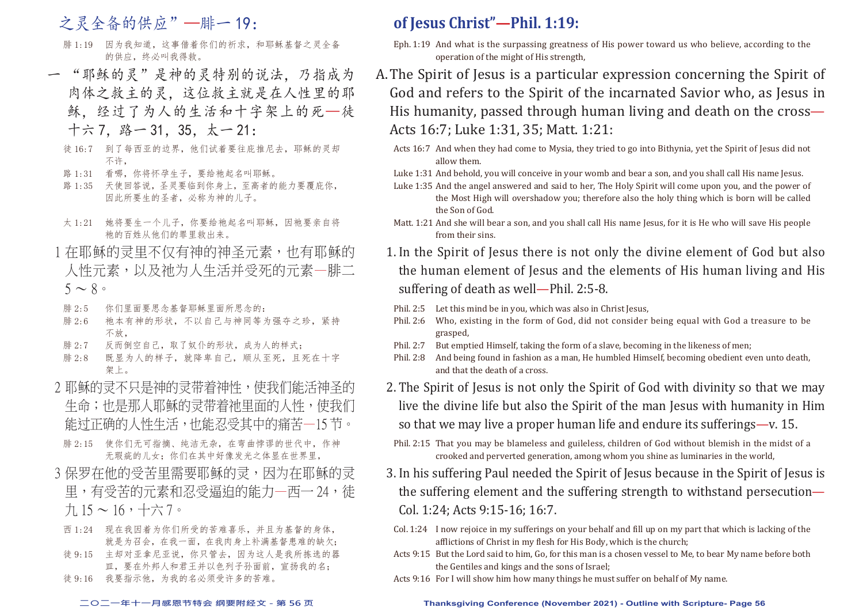## 之灵全备的供应"一腓一 19:

- 腓 1:19 因为我知道,这事借着你们的祈求,和耶稣基督之灵全备 的供应,终必叫我得救。
- 一 "耶稣的灵"是神的灵特别的说法,乃指成为 肉体之救主的灵,这位救主就是在人性里的耶 稣,经过了为人的生活和十字架上的死—徒 十六 7,路一 31,35,太一 21:
	- 徒 16:7 到了每西亚的边界,他们试着要往庇推尼去,耶稣的灵却 不许,
	- 路 1:31 看哪, 你将怀孕生子, 要给祂起名叫耶稣。
	- 路 1:35 天使回答说,圣灵要临到你身上,至高者的能力要覆庇你, 因此所要生的圣者,必称为神的儿子。
	- 太 1:21 她将要生一个儿子, 你要给祂起名叫耶稣, 因祂要亲自将 祂的百姓从他们的罪里救出来。
- 1 在耶稣的灵里不仅有神的神圣元素,也有耶稣的 人性元素,以及祂为人生活并受死的元素—腓二  $5 \sim 8$
- 腓 2:5 你们里面要思念基督耶稣里面所思念的:
- 腓 2:6 祂本有神的形状,不以自己与神同等为强夺之珍,紧持 不放,
- 腓 2:7 反而倒空自己,取了奴仆的形状,成为人的样式;
- 腓 2:8 既显为人的样子,就降卑自己,顺从至死,且死在十字 架上。
- 2 耶稣的灵不只是神的灵带着神性,使我们能活神圣的 生命;也是那人耶稣的灵带着祂里面的人性,使我们 能过正确的人性生活,也能忍受其中的痛苦—15 节。
- 腓 2:15 使你们无可指摘、纯洁无杂,在弯曲悖谬的世代中,作神 无瑕疵的儿女;你们在其中好像发光之体显在世界里
- 3 保罗在他的受苦里需要耶稣的灵,因为在耶稣的灵 里,有受苦的元素和忍受福迫的能力—西一 24, 徒 九 15 ~ 16,十六 7。
	- 西 1:24 现在我因着为你们所受的苦难喜乐,并且为基督的身体, 就是为召会,在我一面,在我肉身上补满基督患难的缺欠;
	- 徒 9:15 主却对亚拿尼亚说,你只管去,因为这人是我所拣选的器 皿,要在外邦人和君王并以色列子孙面前,宣扬我的名;
	- 徒 9:16 我要指示他,为我的名必须受许多的苦难。

## **of Jesus Christ"—Phil. 1:19:**

- Eph. 1:19 And what is the surpassing greatness of His power toward us who believe, according to the operation of the might of His strength,
- A. The Spirit of Jesus is a particular expression concerning the Spirit of God and refers to the Spirit of the incarnated Savior who, as Jesus in His humanity, passed through human living and death on the cross— Acts 16:7; Luke 1:31, 35; Matt. 1:21:
	- Acts 16:7 And when they had come to Mysia, they tried to go into Bithynia, yet the Spirit of Jesus did not allow them.
	- Luke 1:31 And behold, you will conceive in your womb and bear a son, and you shall call His name Jesus.
	- Luke 1:35 And the angel answered and said to her, The Holy Spirit will come upon you, and the power of the Most High will overshadow you; therefore also the holy thing which is born will be called the Son of God.
	- Matt. 1:21 And she will bear a son, and you shall call His name Jesus, for it is He who will save His people from their sins.
	- 1. In the Spirit of Jesus there is not only the divine element of God but also the human element of Jesus and the elements of His human living and His suffering of death as well—Phil. 2:5-8.
		- Phil. 2:5 Let this mind be in you, which was also in Christ Jesus,
		- Phil. 2:6 Who, existing in the form of God, did not consider being equal with God a treasure to be grasped,
		- Phil. 2:7 But emptied Himself, taking the form of a slave, becoming in the likeness of men;
	- Phil. 2:8 And being found in fashion as a man, He humbled Himself, becoming obedient even unto death, and that the death of a cross.
	- 2. The Spirit of Jesus is not only the Spirit of God with divinity so that we may live the divine life but also the Spirit of the man Jesus with humanity in Him so that we may live a proper human life and endure its sufferings—v. 15.
	- Phil. 2:15 That you may be blameless and guileless, children of God without blemish in the midst of a crooked and perverted generation, among whom you shine as luminaries in the world,
	- 3. In his suffering Paul needed the Spirit of Jesus because in the Spirit of Jesus is the suffering element and the suffering strength to withstand persecution— Col. 1:24; Acts 9:15-16; 16:7.
	- Col. 1:24 I now rejoice in my sufferings on your behalf and fill up on my part that which is lacking of the afflictions of Christ in my flesh for His Body, which is the church;
	- Acts 9:15 But the Lord said to him, Go, for this man is a chosen vessel to Me, to bear My name before both the Gentiles and kings and the sons of Israel;
	- Acts 9:16 For I will show him how many things he must suffer on behalf of My name.

#### **二○二一年十一月感恩节特会 纲要附经文 - 第 56 页 Thanksgiving Conference (November 2021) - Outline with Scripture- Page 56**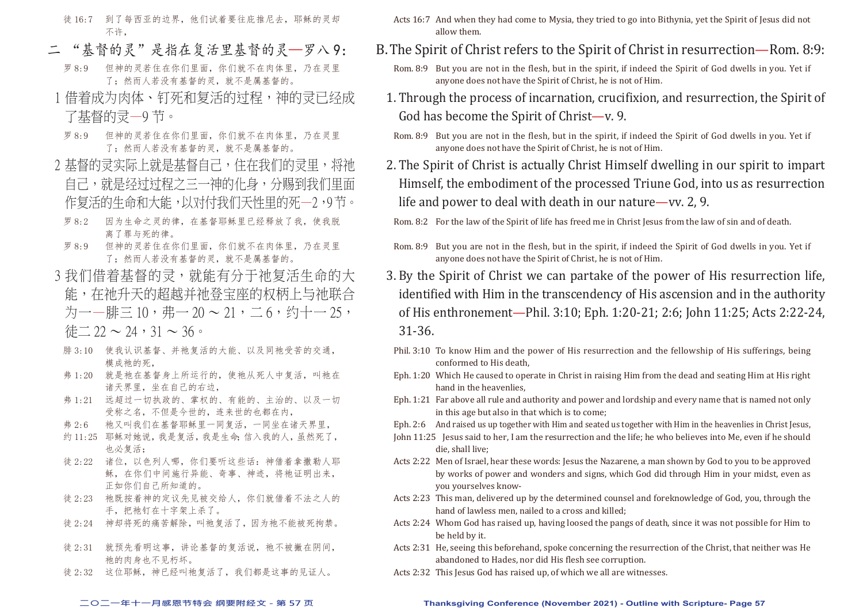- 徒 16:7 到了每西亚的边界,他们试着要往庇推尼去,耶稣的灵却 不许,
- "基督的灵"是指在复活里基督的灵—罗八 9:
	- 罗 8:9 但神的灵若住在你们里面,你们就不在肉体里,乃在灵里 了;然而人若没有基督的灵,就不是属基督的。
- 1 借着成为肉体、钉死和复活的过程,神的灵已经成 了基督的灵—9 节。
- 罗 8:9 但神的灵若住在你们里面,你们就不在肉体里,乃在灵里 了;然而人若没有基督的灵,就不是属基督的。
- 2 基督的灵实际上就是基督自己,住在我们的灵里,将祂 自己,就是经过过程之三一神的化身,分赐到我们里面 作复活的生命和大能,以对付我们天性里的死一2,9节。
- 罗 8:2 因为生命之灵的律,在基督耶稣里已经释放了我,使我脱 离了罪与死的律。
- 罗 8:9 但神的灵若住在你们里面,你们就不在肉体里,乃在灵里 了;然而人若没有基督的灵,就不是属基督的。
- 3 我们借着基督的灵,就能有分于祂复活生命的大 能,在祂升天的超越并祂登宝座的权柄上与祂联合 为一—腓三 10,弗— 20 ~ 21, 二 6, 约十— 25, 待二  $22 \sim 24.31 \sim 36$ 。
	- 腓 3:10 使我认识基督、并祂复活的大能、以及同祂受苦的交通, 模成祂的死,
	- 弗 1:20 就是祂在基督身上所运行的, 使祂从死人中复活, 叫祂在 诸天界里,坐在自己的右边,
	- 弗 1:21 远超过一切执政的、掌权的、有能的、主治的、以及一切 受称之名,不但是今世的,连来世的也都在内,
	- 弗 2:6 祂又叫我们在基督耶稣里一同复活,一同坐在诸天界里,
	- 约 11:25 耶稣对她说,我是复活,我是生命;信入我的人,虽然死了, 也必复活;
	- 徒 2:22 诸位,以色列人哪,你们要听这些话:神借着拿撒勒人耶 稣,在你们中间施行异能、奇事、神迹,将祂证明出来, 正如你们自己所知道的。
- 徒 2:23 祂既按着神的定议先见被交给人,你们就借着不法之人的 手,把祂钉在十字架上杀了。
- 徒 2:24 神却将死的痛苦解除,叫祂复活了,因为祂不能被死拘禁。
- 徒 2:31 就预先看明这事, 讲论基督的复活说, 祂不被撇在阴间, 祂的肉身也不见朽坏。
- 徒 2:32 这位耶稣,神已经叫祂复活了,我们都是这事的见证人。
- Acts 16:7 And when they had come to Mysia, they tried to go into Bithynia, yet the Spirit of Jesus did not allow them.
- B. The Spirit of Christ refers to the Spirit of Christ in resurrection—Rom. 8:9:
	- Rom. 8:9 But you are not in the flesh, but in the spirit, if indeed the Spirit of God dwells in you. Yet if anyone does not have the Spirit of Christ, he is not of Him.
	- 1. Through the process of incarnation, crucifixion, and resurrection, the Spirit of God has become the Spirit of Christ—v. 9.
		- Rom. 8:9 But you are not in the flesh, but in the spirit, if indeed the Spirit of God dwells in you. Yet if anyone does not have the Spirit of Christ, he is not of Him.
	- 2. The Spirit of Christ is actually Christ Himself dwelling in our spirit to impart Himself, the embodiment of the processed Triune God, into us as resurrection life and power to deal with death in our nature—vv. 2, 9.

Rom. 8:2 For the law of the Spirit of life has freed me in Christ Jesus from the law of sin and of death.

- Rom. 8:9 But you are not in the flesh, but in the spirit, if indeed the Spirit of God dwells in you. Yet if anyone does not have the Spirit of Christ, he is not of Him.
- 3. By the Spirit of Christ we can partake of the power of His resurrection life, identified with Him in the transcendency of His ascension and in the authority of His enthronement—Phil. 3:10; Eph. 1:20-21; 2:6; John 11:25; Acts 2:22-24, 31-36.
- Phil. 3:10 To know Him and the power of His resurrection and the fellowship of His sufferings, being conformed to His death,
- Eph. 1:20 Which He caused to operate in Christ in raising Him from the dead and seating Him at His right hand in the heavenlies,
- Eph. 1:21 Far above all rule and authority and power and lordship and every name that is named not only in this age but also in that which is to come;
- Eph. 2:6 And raised us up together with Him and seated us together with Him in the heavenlies in Christ Jesus,
- John 11:25 Jesus said to her, I am the resurrection and the life; he who believes into Me, even if he should die, shall live;
- Acts 2:22 Men of Israel, hear these words: Jesus the Nazarene, a man shown by God to you to be approved by works of power and wonders and signs, which God did through Him in your midst, even as you yourselves know-
- Acts 2:23 This man, delivered up by the determined counsel and foreknowledge of God, you, through the hand of lawless men, nailed to a cross and killed;
- Acts 2:24 Whom God has raised up, having loosed the pangs of death, since it was not possible for Him to be held by it.
- Acts 2:31 He, seeing this beforehand, spoke concerning the resurrection of the Christ, that neither was He abandoned to Hades, nor did His flesh see corruption.
- Acts 2:32 This Jesus God has raised up, of which we all are witnesses.

#### **二○二一年十一月感恩节特会 纲要附经文 - 第 57 页 Thanksgiving Conference (November 2021) - Outline with Scripture- Page 57**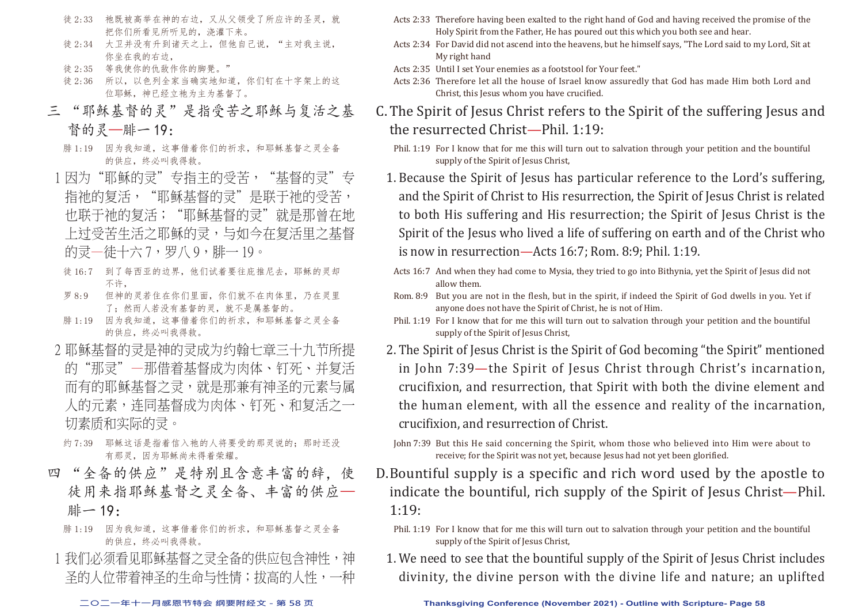- 徒 2:33 祂既被高举在神的右边,又从父领受了所应许的圣灵,就 把你们所看见所听见的,浇灌下来。
- 徒 2:34 大卫并没有升到诸天之上, 但他自己说, "主对我主说, 你坐在我的右边,
- 徒 2:35 等我使你的仇敌作你的脚凳。"
- 徒 2:36 所以,以色列全家当确实地知道,你们钉在十字架上的这 位耶稣,神已经立祂为主为基督了。
- 三 "耶稣基督的灵"是指受苦之耶稣与复活之基 督的灵—腓一 19:
	- 腓 1:19 因为我知道,这事借着你们的祈求,和耶稣基督之灵全备 的供应,终必叫我得救。
- 1 因为"耶稣的灵"专指主的受苦, "基督的灵"专 指祂的复活, "耶稣基督的灵"是联干祂的受苦, 也联于祂的复活;"耶稣基督的灵"就是那曾在地 上过受苦生活之耶稣的灵,与如今在复活里之基督 的灵—徒十六7,罗八9,腓—19。
- 徒 16:7 到了每西亚的边界,他们试着要往庇推尼去,耶稣的灵却 不许,
- 罗 8:9 但神的灵若住在你们里面,你们就不在肉体里,乃在灵里 了;然而人若没有基督的灵,就不是属基督的。
- 腓 1:19 因为我知道,这事借着你们的祈求,和耶稣基督之灵全备 的供应,终必叫我得救。
- 2 耶稣基督的灵是神的灵成为约翰七章三十九节所提 的"那灵"—那借着基督成为肉体、钉死、并复活 而有的耶稣基督之灵,就是那兼有神圣的元素与属 人的元素,连同基督成为肉体、钉死、和复活之一 切素质和实际的灵。
- 约 7:39 耶稣这话是指着信入祂的人将要受的那灵说的;那时还没 有那灵,因为耶稣尚未得着荣耀。
- 四 "全备的供应"是特别且含意丰富的辞,使 徒用来指耶稣基督之灵全备、丰富的供应— 腓一 19:
	- 腓 1:19 因为我知道,这事借着你们的祈求,和耶稣基督之灵全备 的供应,终必叫我得救。
	- 1 我们必须看见耶稣基督之灵全备的供应包含神性,神 圣的人位带着神圣的生命与性情;拔高的人性,一种
- Acts 2:33 Therefore having been exalted to the right hand of God and having received the promise of the Holy Spirit from the Father, He has poured out this which you both see and hear.
- Acts 2:34 For David did not ascend into the heavens, but he himself says, "The Lord said to my Lord, Sit at My right hand
- Acts 2:35 Until I set Your enemies as a footstool for Your feet."
- Acts 2:36 Therefore let all the house of Israel know assuredly that God has made Him both Lord and Christ, this Jesus whom you have crucified.
- C. The Spirit of Jesus Christ refers to the Spirit of the suffering Jesus and the resurrected Christ—Phil. 1:19:
	- Phil. 1:19 For I know that for me this will turn out to salvation through your petition and the bountiful supply of the Spirit of Jesus Christ,
	- 1. Because the Spirit of Jesus has particular reference to the Lord's suffering, and the Spirit of Christ to His resurrection, the Spirit of Jesus Christ is related to both His suffering and His resurrection; the Spirit of Jesus Christ is the Spirit of the Jesus who lived a life of suffering on earth and of the Christ who is now in resurrection—Acts 16:7; Rom. 8:9; Phil. 1:19.
	- Acts 16:7 And when they had come to Mysia, they tried to go into Bithynia, yet the Spirit of Jesus did not allow them.
	- Rom. 8:9 But you are not in the flesh, but in the spirit, if indeed the Spirit of God dwells in you. Yet if anyone does not have the Spirit of Christ, he is not of Him.
	- Phil. 1:19 For I know that for me this will turn out to salvation through your petition and the bountiful supply of the Spirit of Jesus Christ,
	- 2. The Spirit of Jesus Christ is the Spirit of God becoming "the Spirit" mentioned in John 7:39—the Spirit of Jesus Christ through Christ's incarnation, crucifixion, and resurrection, that Spirit with both the divine element and the human element, with all the essence and reality of the incarnation, crucifixion, and resurrection of Christ.
	- John 7:39 But this He said concerning the Spirit, whom those who believed into Him were about to receive; for the Spirit was not yet, because Jesus had not yet been glorified.
- D. Bountiful supply is a specific and rich word used by the apostle to indicate the bountiful, rich supply of the Spirit of Jesus Christ—Phil.  $1:19:$ 
	- Phil. 1:19 For I know that for me this will turn out to salvation through your petition and the bountiful supply of the Spirit of Jesus Christ,
	- 1. We need to see that the bountiful supply of the Spirit of Jesus Christ includes divinity, the divine person with the divine life and nature; an uplifted

#### **二○二一年十一月感恩节特会 纲要附经文 - 第 58 页 Thanksgiving Conference (November 2021) - Outline with Scripture- Page 58**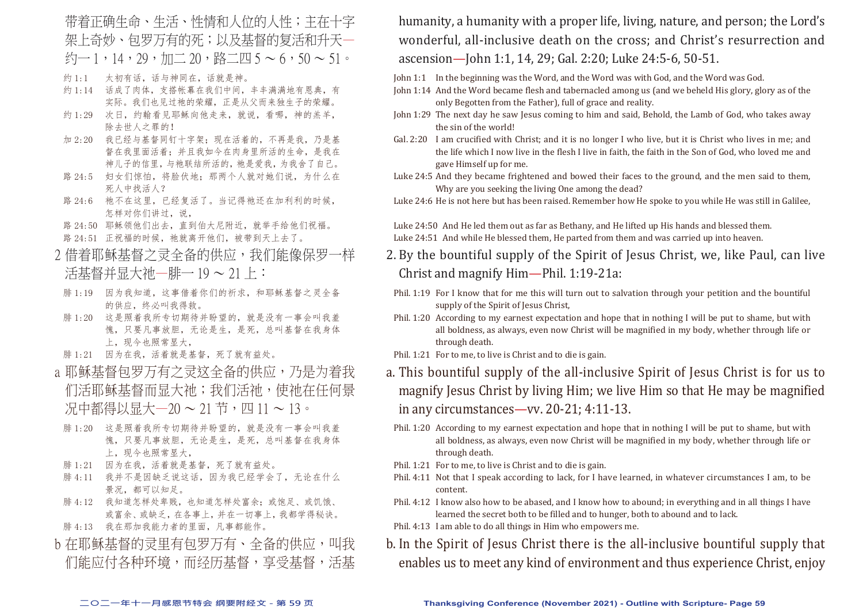带着正确生命、生活、性情和人位的人性;主在十字 架上奇妙、句罗万有的死;以及基督的复活和升天— 约一 1,14,29,加二 20,路二四 5 ~ 6,50 ~ 51。

- 约 1:1 太初有话,话与神同在,话就是神。
- 约 1:14 话成了肉体, 支搭帐幕在我们中间, 丰丰满满地有恩典, 有 实际。我们也见过祂的荣耀,正是从父而来独生子的荣耀。
- 约 1:29 次日,约翰看见耶稣向他走来,就说,看哪,神的羔羊, 除去世人之罪的!
- 加 2:20 我已经与基督同钉十字架;现在活着的,不再是我,乃是基 督在我里面活着;并且我如今在肉身里所活的生命,是我在 神儿子的信里,与祂联结所活的,祂是爱我,为我舍了自己。
- 路 24:5 妇女们惊怕, 将脸伏地: 那两个人就对她们说, 为什么在 死人中找活人?
- 路 24:6 祂不在这里, 已经复活了。当记得祂还在加利利的时候, 怎样对你们讲过,说,
- 路 24:50 耶稣领他们出去,直到伯大尼附近,就举手给他们祝福。
- 路 24:51 正祝福的时候, 祂就离开他们, 被带到天上去了。
- 2 借着耶稣基督之灵全备的供应,我们能像保罗一样 活基督并显大祂—腓一 19 ~ 21 上:
- 腓 1:19 因为我知道,这事借着你们的祈求,和耶稣基督之灵全备 的供应,终必叫我得救。
- 腓 1:20 这是照着我所专切期待并盼望的,就是没有一事会叫我羞 愧,只要凡事放胆,无论是生,是死,总叫基督在我身体 上,现今也照常显大,
- 腓 1:21 因为在我,活着就是基督,死了就有益处。
- a 耶稣基督包罗万有之灵这全备的供应,乃是为着我 们活耶稣基督而显大祂;我们活祂,使祂在任何景 况中都得以显大—20 ~ 21 节,四 11 ~ 13。
- 腓 1:20 这是照着我所专切期待并盼望的,就是没有一事会叫我羞 愧,只要凡事放胆,无论是生,是死,总叫基督在我身体 上,现今也照常显大,
- 腓 1:21 因为在我,活着就是基督,死了就有益处。
- 腓 4:11 我并不是因缺乏说这话,因为我已经学会了,无论在什么 景况,都可以知足。
- 腓 4:12 我知道怎样处卑贱,也知道怎样处富余;或饱足、或饥饿、 或富余、或缺乏,在各事上,并在一切事上,我都学得秘诀。
- 腓 4:13 我在那加我能力者的里面,凡事都能作。
- b 在耶稣基督的灵里有包罗万有、全备的供应,叫我 们能应付各种环境,而经历基督,享受基督,活基

humanity, a humanity with a proper life, living, nature, and person; the Lord's wonderful, all-inclusive death on the cross; and Christ's resurrection and ascension—John 1:1, 14, 29; Gal. 2:20; Luke 24:5-6, 50-51.

John 1:1 In the beginning was the Word, and the Word was with God, and the Word was God.

- John 1:14 And the Word became flesh and tabernacled among us (and we beheld His glory, glory as of the only Begotten from the Father), full of grace and reality.
- John 1:29 The next day he saw Jesus coming to him and said, Behold, the Lamb of God, who takes away the sin of the world!
- Gal. 2:20 I am crucified with Christ; and it is no longer I who live, but it is Christ who lives in me; and the life which I now live in the flesh I live in faith, the faith in the Son of God, who loved me and gave Himself up for me.
- Luke 24:5 And they became frightened and bowed their faces to the ground, and the men said to them, Why are you seeking the living One among the dead?

Luke 24:6 He is not here but has been raised. Remember how He spoke to you while He was still in Galilee,

Luke 24:50 And He led them out as far as Bethany, and He lifted up His hands and blessed them. Luke 24:51 And while He blessed them. He parted from them and was carried up into heaven.

- 2. By the bountiful supply of the Spirit of Jesus Christ, we, like Paul, can live Christ and magnify Him—Phil. 1:19-21a:
- Phil. 1:19 For I know that for me this will turn out to salvation through your petition and the bountiful supply of the Spirit of Jesus Christ,
- Phil. 1:20 According to my earnest expectation and hope that in nothing I will be put to shame, but with all boldness, as always, even now Christ will be magnified in my body, whether through life or through death.
- Phil. 1:21 For to me, to live is Christ and to die is gain.
- a. This bountiful supply of the all-inclusive Spirit of Jesus Christ is for us to magnify Jesus Christ by living Him; we live Him so that He may be magnified in any circumstances—vv. 20-21; 4:11-13.
	- Phil. 1:20 According to my earnest expectation and hope that in nothing I will be put to shame, but with all boldness, as always, even now Christ will be magnified in my body, whether through life or through death.
- Phil. 1:21 For to me, to live is Christ and to die is gain.
- Phil. 4:11 Not that I speak according to lack, for I have learned, in whatever circumstances I am, to be content.
- Phil. 4:12 I know also how to be abased, and I know how to abound; in everything and in all things I have learned the secret both to be filled and to hunger, both to abound and to lack.
- Phil. 4:13 I am able to do all things in Him who empowers me.
- b. In the Spirit of Jesus Christ there is the all-inclusive bountiful supply that enables us to meet any kind of environment and thus experience Christ, enjoy